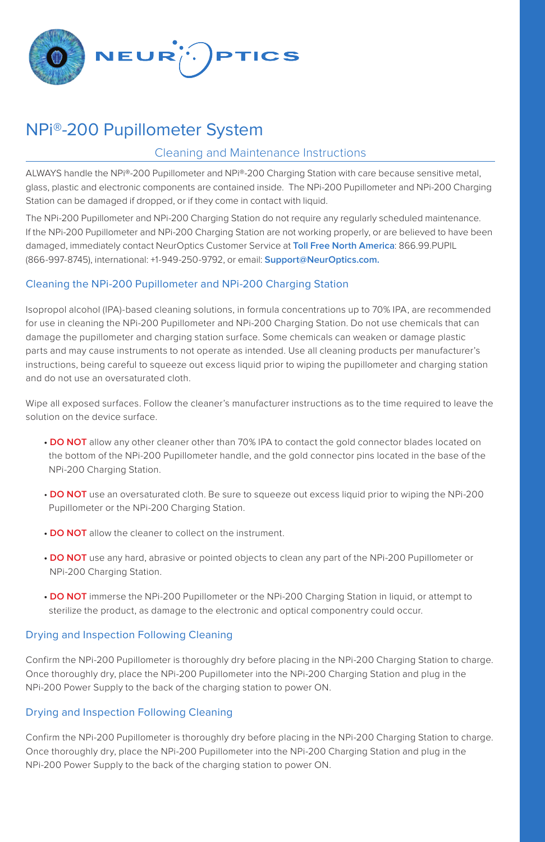

# NPi®-200 Pupillometer System

## Cleaning and Maintenance Instructions

ALWAYS handle the NPi®-200 Pupillometer and NPi®-200 Charging Station with care because sensitive metal, glass, plastic and electronic components are contained inside. The NPi-200 Pupillometer and NPi-200 Charging Station can be damaged if dropped, or if they come in contact with liquid.

The NPi-200 Pupillometer and NPi-200 Charging Station do not require any regularly scheduled maintenance. If the NPi-200 Pupillometer and NPi-200 Charging Station are not working properly, or are believed to have been damaged, immediately contact NeurOptics Customer Service at **Toll Free North America**: 866.99.PUPIL (866-997-8745), international: +1-949-250-9792, or email: **Support@NeurOptics.com.**

### Cleaning the NPi-200 Pupillometer and NPi-200 Charging Station

Isopropol alcohol (IPA)-based cleaning solutions, in formula concentrations up to 70% IPA, are recommended for use in cleaning the NPi-200 Pupillometer and NPi-200 Charging Station. Do not use chemicals that can damage the pupillometer and charging station surface. Some chemicals can weaken or damage plastic parts and may cause instruments to not operate as intended. Use all cleaning products per manufacturer's instructions, being careful to squeeze out excess liquid prior to wiping the pupillometer and charging station and do not use an oversaturated cloth.

Wipe all exposed surfaces. Follow the cleaner's manufacturer instructions as to the time required to leave the solution on the device surface.

- **DO NOT** allow any other cleaner other than 70% IPA to contact the gold connector blades located on the bottom of the NPi-200 Pupillometer handle, and the gold connector pins located in the base of the NPi-200 Charging Station.
- **DO NOT** use an oversaturated cloth. Be sure to squeeze out excess liquid prior to wiping the NPi-200 Pupillometer or the NPi-200 Charging Station.
- **DO NOT** allow the cleaner to collect on the instrument.
- **DO NOT** use any hard, abrasive or pointed objects to clean any part of the NPi-200 Pupillometer or NPi-200 Charging Station.
- **DO NOT** immerse the NPi-200 Pupillometer or the NPi-200 Charging Station in liquid, or attempt to sterilize the product, as damage to the electronic and optical componentry could occur.

#### Drying and Inspection Following Cleaning

Confirm the NPi-200 Pupillometer is thoroughly dry before placing in the NPi-200 Charging Station to charge. Once thoroughly dry, place the NPi-200 Pupillometer into the NPi-200 Charging Station and plug in the NPi-200 Power Supply to the back of the charging station to power ON.

#### Drying and Inspection Following Cleaning

Confirm the NPi-200 Pupillometer is thoroughly dry before placing in the NPi-200 Charging Station to charge. Once thoroughly dry, place the NPi-200 Pupillometer into the NPi-200 Charging Station and plug in the NPi-200 Power Supply to the back of the charging station to power ON.